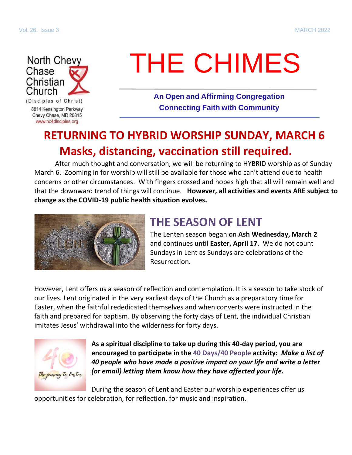

# THE CHIMES

**An Open and Affirming Congregation Connecting Faith with Community**

# **RETURNING TO HYBRID WORSHIP SUNDAY, MARCH 6 Masks, distancing, vaccination still required.**

After much thought and conversation, we will be returning to HYBRID worship as of Sunday March 6. Zooming in for worship will still be available for those who can't attend due to health concerns or other circumstances. With fingers crossed and hopes high that all will remain well and that the downward trend of things will continue. **However, all activities and events ARE subject to change as the COVID-19 public health situation evolves.**



## **THE SEASON OF LENT**

The Lenten season began on **Ash Wednesday, March 2** and continues until **Easter, April 17**. We do not count Sundays in Lent as Sundays are celebrations of the Resurrection.

However, Lent offers us a season of reflection and contemplation. It is a season to take stock of our lives. Lent originated in the very earliest days of the Church as a preparatory time for Easter, when the faithful rededicated themselves and when converts were instructed in the faith and prepared for baptism. By observing the forty days of Lent, the individual Christian imitates Jesus' withdrawal into the wilderness for forty days.



**As a spiritual discipline to take up during this 40-day period, you are encouraged to participate in the 40 Days/40 People activity:** *Make a list of 40 people who have made a positive impact on your life and write a letter (or email) letting them know how they have affected your life.*

During the season of Lent and Easter our worship experiences offer us opportunities for celebration, for reflection, for music and inspiration.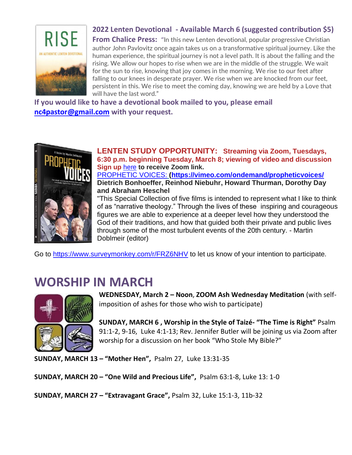

#### **2022 Lenten Devotional - Available March 6 (suggested contribution \$5)**

**From Chalice Press:** "In this new Lenten devotional, popular progressive Christian author John Pavlovitz once again takes us on a transformative spiritual journey. Like the human experience, the spiritual journey is not a level path. It is about the falling and the rising. We allow our hopes to rise when we are in the middle of the struggle. We wait for the sun to rise, knowing that joy comes in the morning. We rise to our feet after falling to our knees in desperate prayer. We rise when we are knocked from our feet, persistent in this. We rise to meet the coming day, knowing we are held by a Love that will have the last word."

**If you would like to have a devotional book mailed to you, please email [nc4pastor@gmail.com](mailto:nc4pastor@gmail.com) with your request.**



**LENTEN STUDY OPPORTUNITY: Streaming via Zoom, Tuesdays, 6:30 p.m. beginning Tuesday, March 8; viewing of video and discussion Sign up** [here](https://nc4disciples.us2.list-manage.com/track/click?u=6288ec387c19e05b3db8cdc15&id=c401029f6d&e=d821ba81a6) **to receive Zoom link.** [PROPHETIC VOICES:](https://nc4disciples.us2.list-manage.com/track/click?u=6288ec387c19e05b3db8cdc15&id=f9bce5587e&e=d821ba81a6) **[\(](https://nc4disciples.us2.list-manage.com/track/click?u=6288ec387c19e05b3db8cdc15&id=3ee7dc1a92&e=d821ba81a6)<https://vimeo.com/ondemand/propheticvoices/> Dietrich Bonhoeffer, Reinhod Niebuhr, Howard Thurman, Dorothy Day and Abraham Heschel**

"This Special Collection of five films is intended to represent what I like to think of as "narrative theology." Through the lives of these inspiring and courageous figures we are able to experience at a deeper level how they understood the God of their traditions, and how that guided both their private and public lives through some of the most turbulent events of the 20th century. - Martin Doblmeir (editor)

Go to<https://www.surveymonkey.com/r/FRZ6NHV> to let us know of your intention to participate.

## **WORSHIP IN MARCH**



**WEDNESDAY, March 2 – Noon**, **ZOOM Ash Wednesday Meditation** (with selfimposition of ashes for those who wish to participate)

**SUNDAY, MARCH 6 , Worship in the Style of Taizé- "The Time is Right"** Psalm 91:1-2, 9-16, Luke 4:1-13; Rev. Jennifer Butler will be joining us via Zoom after worship for a discussion on her book "Who Stole My Bible?"

**SUNDAY, MARCH 13 – "Mother Hen",** Psalm 27, Luke 13:31-35

**SUNDAY, MARCH 20 – "One Wild and Precious Life",** Psalm 63:1-8, Luke 13: 1-0

**SUNDAY, MARCH 27 – "Extravagant Grace",** Psalm 32, Luke 15:1-3, 11b-32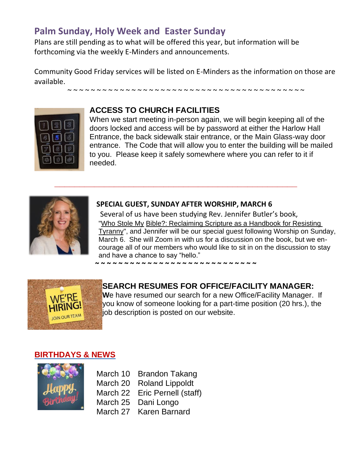#### **Palm Sunday, Holy Week and Easter Sunday**

Plans are still pending as to what will be offered this year, but information will be forthcoming via the weekly E-Minders and announcements.

Community Good Friday services will be listed on E-Minders as the information on those are available.

~ ~ ~ ~ ~ ~ ~ ~ ~ ~ ~ ~ ~ ~ ~ ~ ~ ~ ~ ~ ~ ~ ~ ~ ~ ~ ~ ~ ~ ~ ~ ~ ~ ~ ~ ~ ~ ~ ~ ~ ~



#### **ACCESS TO CHURCH FACILITIES**

When we start meeting in-person again, we will begin keeping all of the doors locked and access will be by password at either the Harlow Hall Entrance, the back sidewalk stair entrance, or the Main Glass-way door entrance. The Code that will allow you to enter the building will be mailed to you. Please keep it safely somewhere where you can refer to it if needed.



#### **SPECIAL GUEST, SUNDAY AFTER WORSHIP, MARCH 6**

**\_\_\_\_\_\_\_\_\_\_\_\_\_\_\_\_\_\_\_\_\_\_\_\_\_\_\_\_\_\_\_\_\_\_\_\_\_\_\_\_\_\_\_\_\_\_\_\_\_**

Several of us have been studying Rev. Jennifer Butler's book, ["Who Stole My](https://www.amazon.com/Who-Stole-Bible-Reclaiming-Scripture/dp/1735739200/ref%3Dsr_1_1?crid=36QTWVXK7GA6&keywords=Who%2BStole%2BMy%2BBible%3F&qid=1640627819&sprefix=who%2Bstole%2Bmy%2Bbible%2B%2Caps%2C162&sr=8-1) Bible?: [Reclaiming](https://www.amazon.com/Who-Stole-Bible-Reclaiming-Scripture/dp/1735739200/ref%3Dsr_1_1?crid=36QTWVXK7GA6&keywords=Who%2BStole%2BMy%2BBible%3F&qid=1640627819&sprefix=who%2Bstole%2Bmy%2Bbible%2B%2Caps%2C162&sr=8-1) Scripture as a Handbook for Resisting [Tyranny"](https://www.amazon.com/Who-Stole-Bible-Reclaiming-Scripture/dp/1735739200/ref%3Dsr_1_1?crid=36QTWVXK7GA6&keywords=Who%2BStole%2BMy%2BBible%3F&qid=1640627819&sprefix=who%2Bstole%2Bmy%2Bbible%2B%2Caps%2C162&sr=8-1), and Jennifer will be our special guest following Worship on Sunday, March 6. She will Zoom in with us for a discussion on the book, but we encourage all of our members who would like to sit in on the discussion to stay and have a chance to say "hello."

**~ ~ ~ ~ ~ ~ ~ ~ ~ ~ ~ ~ ~ ~ ~ ~ ~ ~ ~ ~ ~ ~ ~ ~ ~ ~ ~ ~** 



**SEARCH RESUMES FOR OFFICE/FACILITY MANAGER: W**e have resumed our search for a new Office/Facility Manager. If you know of someone looking for a part-time position (20 hrs.), the job description is posted on our website.

#### **BIRTHDAYS & NEWS**



March 10 Brandon Takang March 20 Roland Lippoldt March 22 Eric Pernell (staff) March 25 Dani Longo March 27 Karen Barnard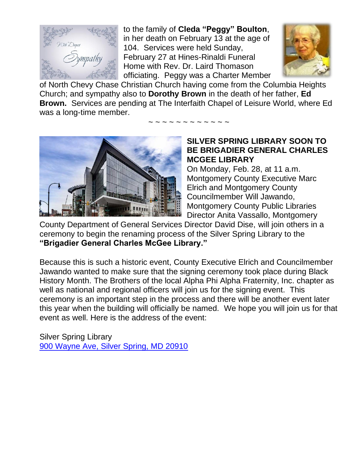

to the family of **Cleda "Peggy" Boulton**, in her death on February 13 at the age of 104. Services were held Sunday, February 27 at Hines-Rinaldi Funeral Home with Rev. Dr. Laird Thomason officiating. Peggy was a Charter Member



of North Chevy Chase Christian Church having come from the Columbia Heights Church; and sympathy also to **Dorothy Brown** in the death of her father, **Ed Brown.** Services are pending at The Interfaith Chapel of Leisure World, where Ed was a long-time member.

~ ~ ~ ~ ~ ~ ~ ~ ~ ~ ~



#### **SILVER SPRING LIBRARY SOON TO BE BRIGADIER GENERAL CHARLES MCGEE LIBRARY**

On Monday, Feb. 28, at 11 a.m. Montgomery County Executive Marc Elrich and Montgomery County Councilmember Will Jawando, Montgomery County Public Libraries Director Anita Vassallo, Montgomery

County Department of General Services Director David Dise, will join others in a ceremony to begin the renaming process of the Silver Spring Library to the **"Brigadier General Charles McGee Library."**

Because this is such a historic event, County Executive Elrich and Councilmember Jawando wanted to make sure that the signing ceremony took place during Black History Month. The Brothers of the local Alpha Phi Alpha Fraternity, Inc. chapter as well as national and regional officers will join us for the signing event. This ceremony is an important step in the process and there will be another event later this year when the building will officially be named. We hope you will join us for that event as well. Here is the address of the event:

Silver Spring Library [900 Wayne Ave, Silver Spring, MD 20910](https://www.bing.com/local?lid=YN873x2696124765844393331&id=YN873x2696124765844393331&q=Silver+Spring+Library&name=Silver+Spring+Library&cp=38.994869232177734%7e-77.02469635009766&ppois=38.994869232177734_-77.02469635009766_Silver+Spring+Library)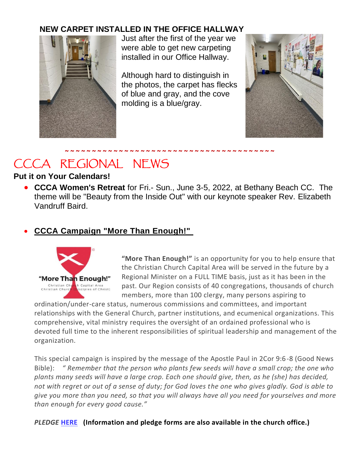#### **NEW CARPET INSTALLED IN THE OFFICE HALLWAY**



Just after the first of the year we were able to get new carpeting installed in our Office Hallway.

Although hard to distinguish in the photos, the carpet has flecks of blue and gray, and the cove molding is a blue/gray.



#### **~ ~ ~ ~ ~ ~ ~ ~ ~ ~ ~ ~ ~ ~ ~ ~ ~ ~ ~ ~ ~ ~ ~ ~ ~ ~ ~ ~ ~ ~ ~ ~ ~ ~ ~ ~ ~ ~ ~** CCCA REGIONAL NEWS

#### **Put it on Your Calendars!**

• **CCCA Women's Retreat** for Fri.- Sun., June 3-5, 2022, at Bethany Beach CC. The theme will be "Beauty from the Inside Out" with our keynote speaker Rev. Elizabeth Vandruff Baird.

#### • **[CCCA Campaign "More Than Enough!"](https://www.cccadisciples.org/news-announcements/2022/1/1/ccca-campaign-more-than-enough)**



**"More Than Enough!"** is an opportunity for you to help ensure that the Christian Church Capital Area will be served in the future by a Regional Minister on a FULL TIME basis, just as it has been in the past. Our Region consists of 40 congregations, thousands of church members, more than 100 clergy, many persons aspiring to

ordination/under-care status, numerous commissions and committees, and important relationships with the General Church, partner institutions, and ecumenical organizations. This comprehensive, vital ministry requires the oversight of an ordained professional who is devoted full time to the inherent responsibilities of spiritual leadership and management of the organization.

This special campaign is inspired by the message of the Apostle Paul in 2Cor 9:6-8 (Good News Bible): *" Remember that the person who plants few seeds will have a small crop; the one who plants many seeds will have a large crop. Each one should give, then, as he (she) has decided, not with regret or out of a sense of duty; for God loves the one who gives gladly. God is able to give you more than you need, so that you will always have all you need for yourselves and more than enough for every good cause."*

#### *PLEDGE* **[HERE](https://static1.squarespace.com/static/5768b756197aeab794b991f5/t/61d0c2ffc33bc733fbee3351/1641071359677/CCCA+More+Than+Enough+Pledge+Form+Revised.pdf) (Information and pledge forms are also available in the church office.)**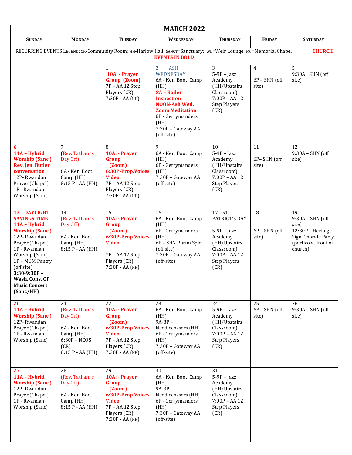| <b>MARCH 2022</b>                                                                                                                                                                                                                                          |                                                                                                               |                                                                                                                                                |                                                                                                                                                                                                                          |                                                                                                                                     |                                            |                                                                                                                  |
|------------------------------------------------------------------------------------------------------------------------------------------------------------------------------------------------------------------------------------------------------------|---------------------------------------------------------------------------------------------------------------|------------------------------------------------------------------------------------------------------------------------------------------------|--------------------------------------------------------------------------------------------------------------------------------------------------------------------------------------------------------------------------|-------------------------------------------------------------------------------------------------------------------------------------|--------------------------------------------|------------------------------------------------------------------------------------------------------------------|
| <b>SUNDAY</b>                                                                                                                                                                                                                                              | <b>MONDAY</b>                                                                                                 | <b>TUESDAY</b>                                                                                                                                 | <b>WEDNESDAY</b>                                                                                                                                                                                                         | <b>THURSDAY</b>                                                                                                                     | <b>FRIDAY</b>                              | <b>SATURDAY</b>                                                                                                  |
| RECURRING EVENTS LEGEND: CR-Community Room; HH-Harlow Hall; SANCT=Sanctuary; WL=Weir Lounge; MC=Memorial Chapel<br><b>CHURCH</b><br><b>EVENTS IN BOLD</b>                                                                                                  |                                                                                                               |                                                                                                                                                |                                                                                                                                                                                                                          |                                                                                                                                     |                                            |                                                                                                                  |
|                                                                                                                                                                                                                                                            |                                                                                                               | 1<br>10A: - Prayer<br>Group (Zoom)<br>7P - AA 12 Step<br>Players (CR)<br>7:30P - AA (HH)                                                       | <b>ASH</b><br>$\overline{2}$<br>WEDNESDAY<br>6A - Ken. Boot Camp<br>(HH)<br>8A - Boiler<br><b>Inspection</b><br>NOON-Ash Wed.<br><b>Zoom Meditation</b><br>6P - Gerrymanders<br>(HH)<br>7:30P - Gateway AA<br>(off-site) | 3<br>$5-9P$ - Jazz<br>Academy<br>(HH/Upstairs<br>Classroom)<br>$7:00P - AA 12$<br><b>Step Players</b><br>(CR)                       | $\overline{4}$<br>$6P - SHN$ (off<br>site) | 5<br>9:30A _ SHN (off<br>site)                                                                                   |
| 6<br>11A - Hybrid<br><b>Worship (Sanc.)</b><br><b>Rev. Jen Butler</b><br>conversation<br>12P-Rwandan<br>Prayer (Chapel)<br>1P - Rwandan<br>Worship (Sanc)                                                                                                  | $\overline{7}$<br>(Rev. Tatham's<br>Day Off)<br>6A - Ken. Boot<br>Camp (HH)<br>8:15 P - AA (HH)               | 8<br>10A: - Prayer<br>Group<br>(2oom)<br>6:30P-Prop.Voices<br><b>Video</b><br>7P - AA 12 Step<br>Players (CR)<br>7:30P - AA (HH)               | 9<br>6A - Ken. Boot Camp<br>(HH)<br>6P - Gerrymanders<br>(HH)<br>7:30P - Gateway AA<br>(off-site)                                                                                                                        | 10<br>$5-9P$ - Jazz<br>Academy<br>(HH/Upstairs<br>Classroom)<br>$7:00P - AA 12$<br><b>Step Players</b><br>(CR)                      | 11<br>6P-SHN (off<br>site)                 | 12<br>$9:30A - SHN$ (off<br>site)                                                                                |
| 13 DAYLIGHT<br><b>SAVINGS TIME</b><br>11A - Hybrid<br><b>Worship (Sanc.)</b><br>12P-Rwandan<br>Prayer (Chapel)<br>1P - Rwandan<br>Worship (Sanc)<br>1P - MUM Pantry<br>(off site)<br>$3:30-9:30P -$<br>Wash. Cons. Of<br><b>Music Concert</b><br>(Sanc/HH) | 14<br>(Rev. Tatham's<br>Day Off)<br>6A - Ken. Boot<br>Camp (HH)<br>8:15 P - AA (HH)                           | $\overline{15}$<br>10A: - Prayer<br>Group<br>(2oom)<br>6:30P-Prop.Voices<br><b>Video</b><br>7P - AA 12 Step<br>Players (CR)<br>7:30P - AA (HH) | 16<br>6A - Ken. Boot Camp<br>(HH)<br>6P - Gerrymanders<br>(HH)<br>6P - SHN Purim Spiel<br>(off site)<br>7:30P - Gateway AA<br>(off-site)                                                                                 | 17 ST.<br>PATRICT'S DAY<br>$5-9P$ - Jazz<br>Academy<br>(HH/Upstairs<br>Classroom)<br>$7:00P - AA 12$<br><b>Step Players</b><br>(CR) | 18<br>$6P - SHN$ (off<br>site)             | 19<br>$9:30A - SHN$ (off<br>site)<br>12:30P - Heritage<br>Sign. Chorale Party<br>(portico at front of<br>church) |
| 20<br>11A - Hybrid<br><b>Worship (Sanc.)</b><br>12P-Rwandan<br>Prayer (Chapel)<br>1P - Rwandan<br>Worship (Sanc)                                                                                                                                           | 21<br>(Rev. Tatham's<br>Day Off)<br>6A - Ken. Boot<br>Camp (HH)<br>$6:30P - NCOS$<br>(CR)<br>8:15 P - AA (HH) | 22<br>10A: - Prayer<br>Group<br>(Zoom)<br>6:30P-Prop.Voices<br><b>Video</b><br>7P - AA 12 Step<br>Players (CR)<br>7:30Р - АА (НН)              | 23<br>6A - Ken. Boot Camp<br>(HH)<br>$9A-3P-$<br>Needlechasers (HH)<br>6P - Gerrymanders<br>(HH)<br>7:30P - Gateway AA<br>(off-site)                                                                                     | 24<br>$5-9P$ - Jazz<br>Academy<br>(HH/Upstairs<br>Classroom)<br>$7:00P - AA 12$<br><b>Step Players</b><br>(CR)                      | 25<br>$6P - SHN$ (off<br>site)             | 26<br>$9:30A - SHN$ (off<br>site)                                                                                |
| 27<br>11A - Hybrid<br><b>Worship (Sanc.)</b><br>12P-Rwandan<br>Prayer (Chapel)<br>1P - Rwandan<br>Worship (Sanc)                                                                                                                                           | 28<br>(Rev. Tatham's<br>Day Off)<br>6A - Ken. Boot<br>Camp (HH)<br>8:15 P - AA (HH)                           | 29<br>10A: - Prayer<br>Group<br>(2oom)<br>6:30P-Prop.Voices<br><b>Video</b><br>7P - AA 12 Step<br>Players (CR)<br>7:30Р - АА (НН)              | 30<br>6A - Ken. Boot Camp<br>(HH)<br>$9A-3P-$<br>Needlechasers (HH)<br>6P - Gerrymanders<br>(HH)<br>7:30P - Gateway AA<br>(off-site)                                                                                     | 31<br>$5-9P$ - Jazz<br>Academy<br>(HH/Upstairs<br>Classroom)<br>$7:00P - AA 12$<br><b>Step Players</b><br>(CR)                      |                                            |                                                                                                                  |